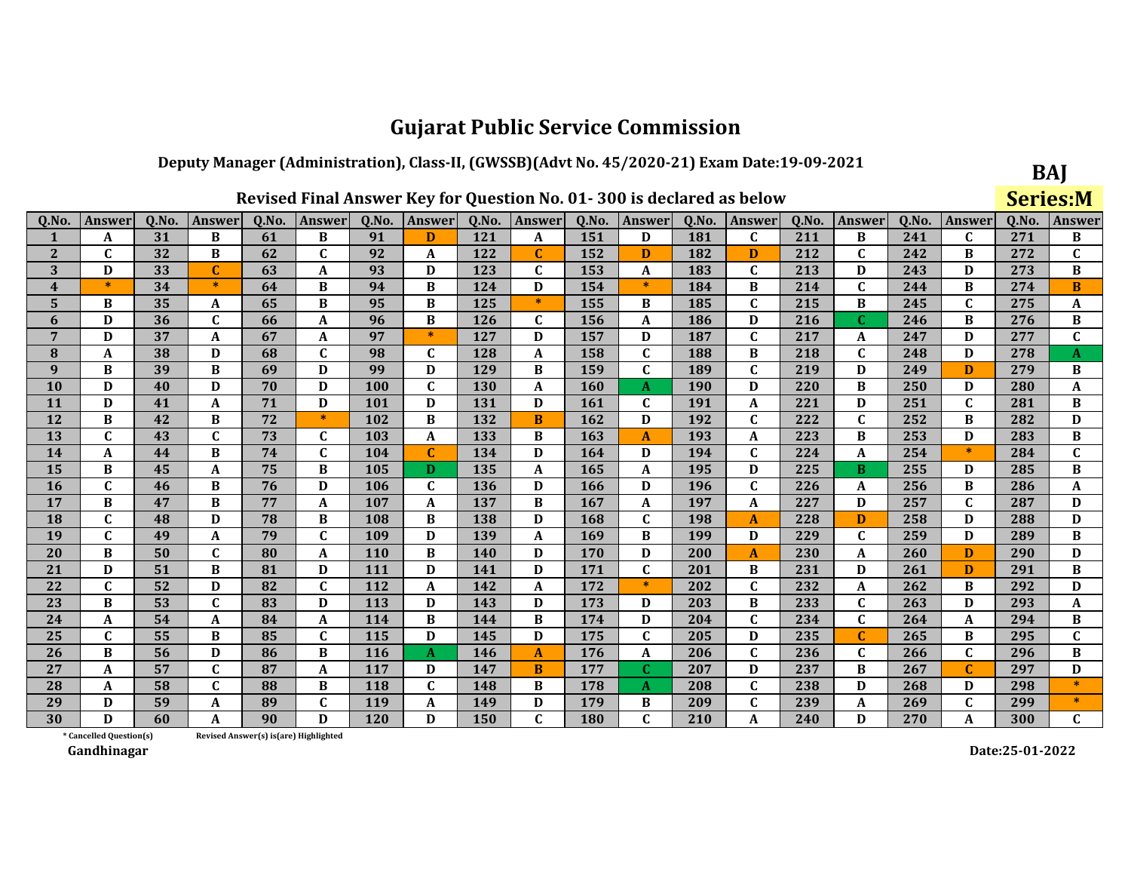### Deputy Manager (Administration), Class-II, (GWSSB)(Advt No. 45/2020-21) Exam Date:19-09-2021  $\sim$

|                 |                         |       |                                       |       | Revised Final Answer Key for Question No. 01-300 is declared as below |            |              |       |              |            |               |       |                  |       |              |       |             |       | <b>Series:M</b> |
|-----------------|-------------------------|-------|---------------------------------------|-------|-----------------------------------------------------------------------|------------|--------------|-------|--------------|------------|---------------|-------|------------------|-------|--------------|-------|-------------|-------|-----------------|
| Q.No.           | <b>Answer</b>           | Q.No. | Answer                                | Q.No. | Answer                                                                | Q.No.      | Answer       | Q.No. | Answer       | Q.No.      | <b>Answer</b> | Q.No. | <b>Answer</b>    | Q.No. | Answer       | Q.No. | Answer      | Q.No. | Answer          |
| 1               | A                       | 31    | B                                     | 61    | B                                                                     | 91         | D            | 121   | A            | 151        | D             | 181   | C                | 211   | B            | 241   | C           | 271   | B               |
| 2               | $\mathbf C$             | 32    | B                                     | 62    | $\mathbf C$                                                           | 92         | A            | 122   | $\mathbf C$  | 152        | D             | 182   | D                | 212   | $\mathbf{C}$ | 242   | B           | 272   | C               |
| 3               | D                       | 33    | C                                     | 63    | A                                                                     | 93         | D            | 123   | $\mathbf C$  | 153        | A             | 183   | $\mathbf C$      | 213   | D            | 243   | D           | 273   | B               |
| 4               | $\ast$                  | 34    | $\ast$                                | 64    | B                                                                     | 94         | B            | 124   | D            | 154        | $*$           | 184   | B                | 214   | $\mathbf{C}$ | 244   | B           | 274   | B               |
| 5               | B                       | 35    | A                                     | 65    | B                                                                     | 95         | B            | 125   | $\ast$       | 155        | B             | 185   | $\mathbf{C}$     | 215   | В            | 245   | $\mathbf C$ | 275   | A               |
| 6               | D                       | 36    | $\mathbf C$                           | 66    | A                                                                     | 96         | B            | 126   | $\mathbf{C}$ | 156        | A             | 186   | D                | 216   | C.           | 246   | B           | 276   | B               |
| $7\phantom{.0}$ | D                       | 37    | A                                     | 67    | A                                                                     | 97         | $\ast$       | 127   | D            | 157        | D             | 187   | $\mathbf{C}$     | 217   | A            | 247   | D           | 277   | $\mathbf C$     |
| 8               | A                       | 38    | D                                     | 68    | $\mathbf{C}$                                                          | 98         | $\mathbf{C}$ | 128   | A            | 158        | $\mathbf{C}$  | 188   | B                | 218   | C            | 248   | D           | 278   | A               |
| 9               | B                       | 39    | B                                     | 69    | D                                                                     | 99         | D            | 129   | B            | 159        | $\mathbf{C}$  | 189   | $\mathbf C$      | 219   | D            | 249   | D           | 279   | B               |
| <b>10</b>       | D                       | 40    | D                                     | 70    | D                                                                     | 100        | $\mathbf C$  | 130   | A            | <b>160</b> | A             | 190   | D                | 220   | B            | 250   | D           | 280   | A               |
| <b>11</b>       | D                       | 41    | A                                     | 71    | D                                                                     | 101        | D            | 131   | D            | <b>161</b> | C             | 191   | A                | 221   | D            | 251   | $\mathbf C$ | 281   | B               |
| 12              | B                       | 42    | B                                     | 72    | $\ast$                                                                | 102        | B            | 132   | B            | 162        | D             | 192   | $\mathbf C$      | 222   | $\mathbf{C}$ | 252   | B           | 282   | D               |
| 13              | $\mathbf{C}$            | 43    | $\mathbf C$                           | 73    | $\mathbf{C}$                                                          | 103        | A            | 133   | B            | 163        | A             | 193   | A                | 223   | B            | 253   | D           | 283   | B               |
| 14              | A                       | 44    | B                                     | 74    | $\mathbf C$                                                           | 104        | C            | 134   | D            | 164        | D             | 194   | $\mathbf C$      | 224   | A            | 254   | $\ast$      | 284   | $\mathbf{C}$    |
| 15              | B                       | 45    | A                                     | 75    | B                                                                     | 105        | D.           | 135   | A            | 165        | A             | 195   | D                | 225   | B            | 255   | D           | 285   | B               |
| <b>16</b>       | $\mathbf C$             | 46    | B                                     | 76    | D                                                                     | 106        | $\mathbf{C}$ | 136   | D            | 166        | D             | 196   | $\mathbf{C}$     | 226   | A            | 256   | B           | 286   | A               |
| 17              | B                       | 47    | B                                     | 77    | $\boldsymbol{A}$                                                      | 107        | A            | 137   | B            | 167        | A             | 197   | $\boldsymbol{A}$ | 227   | D            | 257   | $\mathbf C$ | 287   | D               |
| 18              | $\mathbf C$             | 48    | D                                     | 78    | B                                                                     | 108        | B            | 138   | D            | 168        | $\mathbf{C}$  | 198   | $\mathbf{A}$     | 228   | D            | 258   | D           | 288   | D               |
| 19              | $\mathbf C$             | 49    | A                                     | 79    | $\mathbf C$                                                           | 109        | D            | 139   | A            | 169        | B             | 199   | D                | 229   | $\mathbf C$  | 259   | D           | 289   | B               |
| <b>20</b>       | B                       | 50    | $\mathbf c$                           | 80    | A                                                                     | 110        | B            | 140   | D            | 170        | D             | 200   | $\mathbf{A}$     | 230   | A            | 260   | D           | 290   | D               |
| 21              | D                       | 51    | B                                     | 81    | D                                                                     | 111        | D            | 141   | D            | 171        | $\mathbf{C}$  | 201   | B                | 231   | D            | 261   | D           | 291   | B               |
| 22              | $\mathbf{C}$            | 52    | D                                     | 82    | $\mathbf C$                                                           | 112        | A            | 142   | $\mathbf A$  | 172        | $\ast$        | 202   | $\mathbf C$      | 232   | A            | 262   | B           | 292   | D               |
| 23              | B                       | 53    | $\mathbf C$                           | 83    | D                                                                     | 113        | D            | 143   | D            | 173        | D             | 203   | B                | 233   | $\mathbf C$  | 263   | D           | 293   | A               |
| 24              | A                       | 54    | A                                     | 84    | A                                                                     | 114        | B            | 144   | B            | 174        | D             | 204   | $\mathbf{C}$     | 234   | C            | 264   | A           | 294   | B               |
| 25              | $\mathbf C$             | 55    | B                                     | 85    | $\mathbf C$                                                           | 115        | D            | 145   | D            | 175        | $\mathbf C$   | 205   | D                | 235   | $\mathbf C$  | 265   | B           | 295   | $\mathbf{C}$    |
| 26              | B                       | 56    | D                                     | 86    | B                                                                     | <b>116</b> | A            | 146   | A            | 176        | A             | 206   | $\mathbf C$      | 236   | $\mathbf C$  | 266   | $\mathbf C$ | 296   | $\bf{B}$        |
| 27              | A                       | 57    | $\mathbf{C}$                          | 87    | $\boldsymbol{A}$                                                      | 117        | D            | 147   | B            | 177        | C.            | 207   | D                | 237   | $\bf{B}$     | 267   | $\mathbf C$ | 297   | D               |
| 28              | A                       | 58    | $\mathbf{C}$                          | 88    | B                                                                     | 118        | $\mathbf{C}$ | 148   | B            | 178        | A             | 208   | $\mathbf C$      | 238   | D            | 268   | D           | 298   |                 |
| 29              | D                       | 59    | $\boldsymbol{A}$                      | 89    | $\mathbf C$                                                           | 119        | A            | 149   | D            | 179        | B             | 209   | $\mathbf C$      | 239   | A            | 269   | $\mathbf C$ | 299   | $\ast$          |
| 30              | D                       | 60    | A                                     | 90    | D                                                                     | 120        | D            | 150   | $\mathbf C$  | 180        | $\mathbf{C}$  | 210   | A                | 240   | D            | 270   | A           | 300   | $\mathbf{C}$    |
|                 | * Cancelled Question(s) |       | Revised Answer(s) is(are) Highlighted |       |                                                                       |            |              |       |              |            |               |       |                  |       |              |       |             |       |                 |

Revised Answer(s) is(are) Highlighted

Gandhinagar

 $\vdash$ 

Date:25-01-2022

BAJ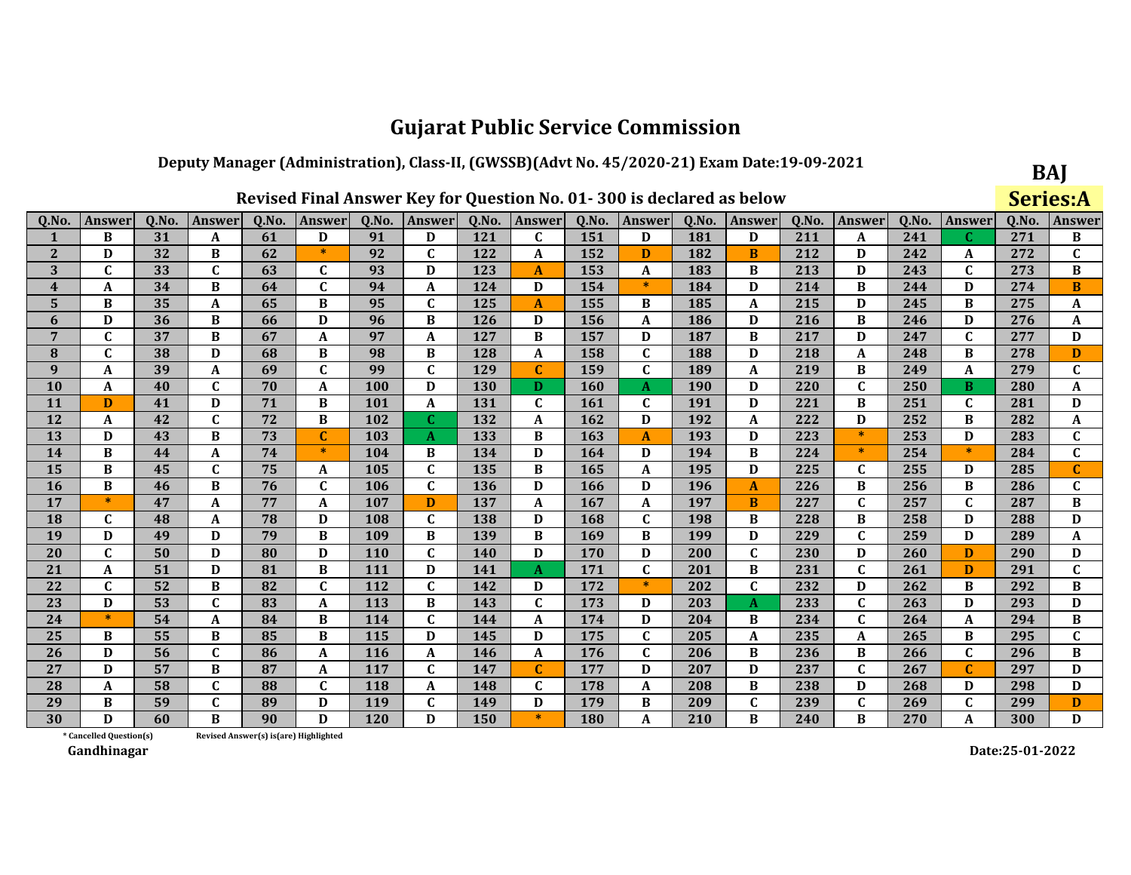### Deputy Manager (Administration), Class-II, (GWSSB)(Advt No. 45/2020-21) Exam Date:19-09-2021

|              |                         |       |              |                                        |             |            |               |       | Revised Final Answer Key for Question No. 01-300 is declared as below |       |               |       |              |       |                |       |               |       | <b>Series:A</b> |
|--------------|-------------------------|-------|--------------|----------------------------------------|-------------|------------|---------------|-------|-----------------------------------------------------------------------|-------|---------------|-------|--------------|-------|----------------|-------|---------------|-------|-----------------|
| Q.No.        | Answer                  | Q.No. | Answer       | Q.No.                                  | Answer      | Q.No.      | <b>Answer</b> | Q.No. | Answer                                                                | Q.No. | <b>Answer</b> | Q.No. | Answer       | Q.No. | <b>Answer</b>  | Q.No. | <b>Answer</b> | Q.No. | Answer          |
|              | B                       | 31    | A            | 61                                     | D           | 91         | D             | 121   | C                                                                     | 151   | D             | 181   | D            | 211   | A              | 241   | C             | 271   | В               |
| $\mathbf{2}$ | D                       | 32    | B            | 62                                     | $\ast$      | 92         | C             | 122   | A                                                                     | 152   | D             | 182   | B            | 212   | D              | 242   | A             | 272   | $\mathbf C$     |
| 3            | $\mathbf{C}$            | 33    | $\mathbf C$  | 63                                     | C           | 93         | D             | 123   | A                                                                     | 153   | A             | 183   | B            | 213   | D              | 243   | C             | 273   | B               |
| 4            | A                       | 34    | B            | 64                                     | $\mathbf C$ | 94         | A             | 124   | D                                                                     | 154   | $\ast$        | 184   | D            | 214   | B              | 244   | D             | 274   | B               |
| 5            | B                       | 35    | A            | 65                                     | B           | 95         | $\mathbf C$   | 125   | A                                                                     | 155   | B             | 185   | A            | 215   | D              | 245   | B             | 275   | A               |
| 6            | D                       | 36    | B            | 66                                     | D           | 96         | B             | 126   | D                                                                     | 156   | A             | 186   | D            | 216   | B              | 246   | D             | 276   | A               |
| 7            | $\mathbf{C}$            | 37    | B            | 67                                     | A           | 97         | A             | 127   | B                                                                     | 157   | D             | 187   | B            | 217   | D              | 247   | C             | 277   | D               |
| 8            | $\mathbf C$             | 38    | D            | 68                                     | $\bf{B}$    | 98         | B             | 128   | $\boldsymbol{A}$                                                      | 158   | C             | 188   | D            | 218   | A              | 248   | B             | 278   | D               |
| 9            | A                       | 39    | A            | 69                                     | $\mathbf C$ | 99         | $\mathbf{C}$  | 129   | $\mathbf C$                                                           | 159   | C             | 189   | A            | 219   | B              | 249   | A             | 279   | $\mathbf C$     |
| <b>10</b>    | A                       | 40    | $\mathbf C$  | 70                                     | $\mathbf A$ | 100        | D             | 130   | D                                                                     | 160   | A             | 190   | D            | 220   | $\overline{c}$ | 250   | B             | 280   | A               |
| 11           | D                       | 41    | D            | 71                                     | $\bf{B}$    | 101        | A             | 131   | $\mathbf{C}$                                                          | 161   | $\mathbf{C}$  | 191   | D            | 221   | $\bf{B}$       | 251   | C             | 281   | D               |
| 12           | A                       | 42    | $\mathbf C$  | 72                                     | B           | 102        | $\mathbf{C}$  | 132   | $\mathbf{A}$                                                          | 162   | D             | 192   | $\mathbf{A}$ | 222   | D              | 252   | B             | 282   | A               |
| 13           | D                       | 43    | B            | 73                                     | $\mathbf C$ | 103        | A             | 133   | B                                                                     | 163   | $\mathbf{A}$  | 193   | D            | 223   | $\ast$         | 253   | D             | 283   | $\mathbf C$     |
| 14           | B                       | 44    | A            | 74                                     | $\ast$      | 104        | B             | 134   | D                                                                     | 164   | D             | 194   | B            | 224   | $\ast$         | 254   | $\ast$        | 284   | $\mathbf{C}$    |
| 15           | B                       | 45    | $\mathbf{C}$ | 75                                     | A           | 105        | C             | 135   | B                                                                     | 165   | A             | 195   | D            | 225   | C              | 255   | D             | 285   | $\mathbf{C}$    |
| <b>16</b>    | B                       | 46    | B            | 76                                     | $\mathbf C$ | 106        | $\mathbf{C}$  | 136   | D                                                                     | 166   | D             | 196   | $\mathbf{A}$ | 226   | B              | 256   | B             | 286   | C               |
| 17           | $\ast$                  | 47    | A            | 77                                     | A           | 107        | D             | 137   | A                                                                     | 167   | A             | 197   | B            | 227   | C              | 257   | $\mathbf C$   | 287   | B               |
| 18           | $\mathbf{C}$            | 48    | A            | 78                                     | D           | 108        | $\mathbf C$   | 138   | D                                                                     | 168   | C             | 198   | B            | 228   | B              | 258   | D             | 288   | D               |
| 19           | D                       | 49    | D            | 79                                     | $\bf{B}$    | 109        | B             | 139   | B                                                                     | 169   | B             | 199   | D            | 229   | $\mathbf C$    | 259   | D             | 289   | A               |
| 20           | $\mathbf C$             | 50    | D            | 80                                     | D           | <b>110</b> | $\mathbf{C}$  | 140   | D                                                                     | 170   | D             | 200   | $\mathbf C$  | 230   | D              | 260   | D             | 290   | D               |
| 21           | A                       | 51    | D            | 81                                     | $\bf{B}$    | 111        | D             | 141   | A                                                                     | 171   | $\mathbf C$   | 201   | $\bf{B}$     | 231   | $\mathbf{C}$   | 261   | D             | 291   | $\mathbf{C}$    |
| 22           | $\mathbf{C}$            | 52    | B            | 82                                     | $\mathbf C$ | 112        | $\mathbf C$   | 142   | D                                                                     | 172   | $\ast$        | 202   | $\mathbf{C}$ | 232   | D              | 262   | B             | 292   | B               |
| 23           | D                       | 53    | $\mathbf C$  | 83                                     | A           | 113        | B             | 143   | $\mathbf C$                                                           | 173   | D             | 203   | $\mathbf{A}$ | 233   | $\mathbf C$    | 263   | D             | 293   | D               |
| 24           | $\ast$                  | 54    | A            | 84                                     | B           | 114        | $\mathbf{C}$  | 144   | A                                                                     | 174   | D             | 204   | B            | 234   | $\mathbf C$    | 264   | A             | 294   | В               |
| 25           | B                       | 55    | B            | 85                                     | B           | 115        | D             | 145   | D                                                                     | 175   | C             | 205   | $\mathbf{A}$ | 235   | A              | 265   | B             | 295   | $\mathbf{C}$    |
| 26           | D                       | 56    | $\mathbf C$  | 86                                     | A           | <b>116</b> | A             | 146   | A                                                                     | 176   | C             | 206   | B            | 236   | B              | 266   | C             | 296   | B               |
| 27           | D                       | 57    | B            | 87                                     | A           | 117        | C             | 147   | $\mathbf C$                                                           | 177   | D             | 207   | D            | 237   | $\mathbf C$    | 267   | $\mathbf C$   | 297   | D               |
| 28           | A                       | 58    | $\mathbf C$  | 88                                     | $\mathbf C$ | <b>118</b> | A             | 148   | $\mathbf C$                                                           | 178   | A             | 208   | B            | 238   | D              | 268   | D             | 298   | D               |
| 29           | B                       | 59    | $\mathbf C$  | 89                                     | D           | 119        | C             | 149   | D                                                                     | 179   | B             | 209   | $\mathbf C$  | 239   | $\mathbf C$    | 269   | $\mathbf C$   | 299   | D               |
| 30           | D                       | 60    | B            | 90                                     | D           | <b>120</b> | D             | 150   | $\ast$                                                                | 180   | A             | 210   | B            | 240   | B              | 270   | A             | 300   | D               |
|              | * Cancelled Question(s) |       |              | Revised Answer(s) is (are) Highlighted |             |            |               |       |                                                                       |       |               |       |              |       |                |       |               |       |                 |

Revised Answer(s) is(are) Highlighted

Gandhinagar

 $\vdash$ 

Date:25-01-2022

BAJ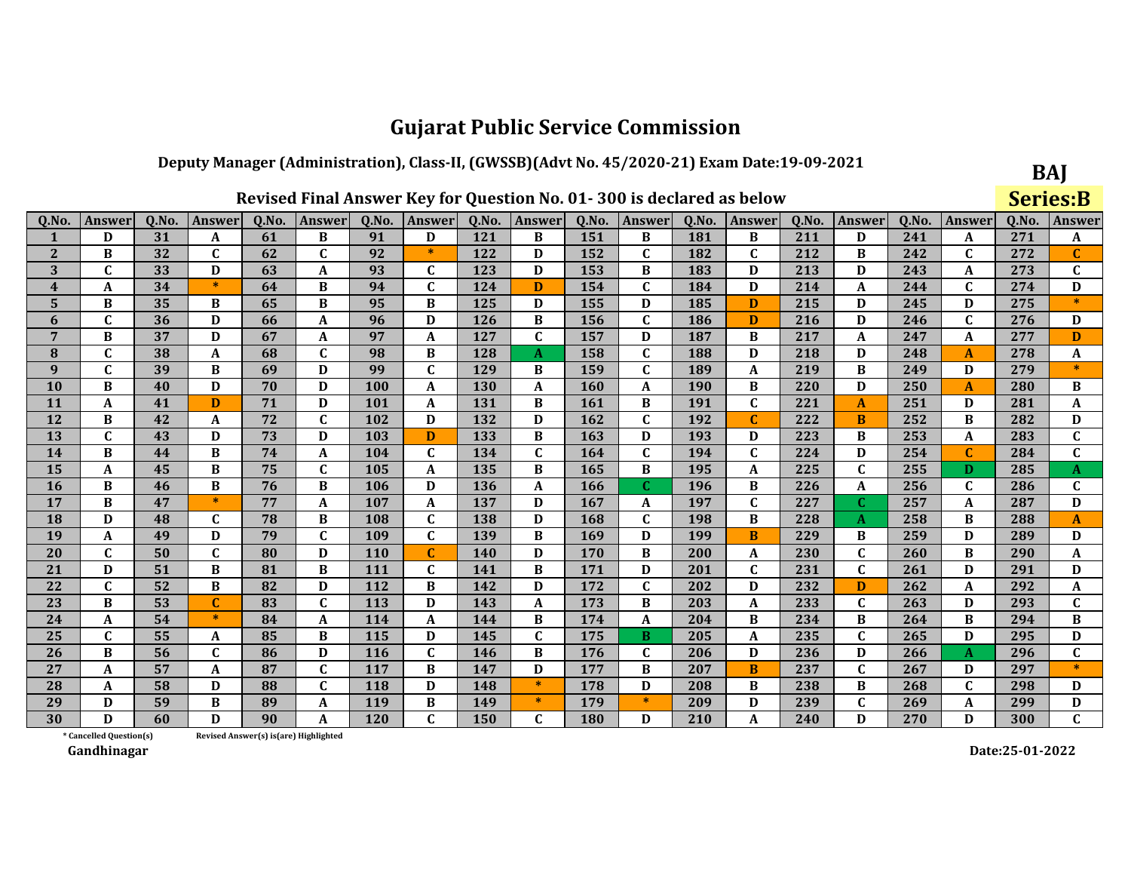### Deputy Manager (Administration), Class-II, (GWSSB)(Advt No. 45/2020-21) Exam Date:19-09-2021

| Revised Final Answer Key for Question No. 01-300 is declared as below |               |       |               |       |              |            |                           |            |               |       |                  |              |               |       | Series:B         |       |              |       |                |
|-----------------------------------------------------------------------|---------------|-------|---------------|-------|--------------|------------|---------------------------|------------|---------------|-------|------------------|--------------|---------------|-------|------------------|-------|--------------|-------|----------------|
| Q.No.                                                                 | <b>Answer</b> | Q.No. | <b>Answer</b> | 0.No. | Answer       | Q.No.      | Answer                    | Q.No.      | <b>Answer</b> | Q.No. | Answer           | <b>O.No.</b> | <b>Answer</b> | Q.No. | <b>Answer</b>    | Q.No. | Answer       | Q.No. | Answer         |
|                                                                       | D             | 31    | A             | 61    | B            | 91         | D                         | 121        | B             | 151   | B                | 181          | B             | 211   | D                | 241   | A            | 271   | A              |
| $\mathbf{2}$                                                          | B             | 32    | $\mathbf C$   | 62    | $\mathbf{C}$ | 92         | $\ast$                    | 122        | D             | 152   | $\mathbf C$      | 182          | $\mathbf{C}$  | 212   | B                | 242   | C            | 272   | $\mathbf C$    |
| 3                                                                     | $\mathbf C$   | 33    | D             | 63    | $\mathbf A$  | 93         | $\mathbf C$               | 123        | D             | 153   | B                | 183          | D             | 213   | D                | 243   | A            | 273   | $\mathbf{C}$   |
| $\overline{\mathbf{4}}$                                               | A             | 34    | $\ast$        | 64    | B            | 94         | $\mathbf C$               | 124        | D             | 154   | $\mathbf{C}$     | 184          | D             | 214   | $\boldsymbol{A}$ | 244   | $\mathbf C$  | 274   | D              |
| 5                                                                     | B             | 35    | B             | 65    | B            | 95         | B                         | 125        | D             | 155   | D                | 185          | D             | 215   | D                | 245   | D            | 275   |                |
| 6                                                                     | $\mathbf C$   | 36    | D             | 66    | A            | 96         | D                         | 126        | B             | 156   | $\mathbf{C}$     | 186          | D             | 216   | D                | 246   | $\mathbf C$  | 276   | D              |
| $\overline{7}$                                                        | $\bf{B}$      | 37    | D             | 67    | A            | 97         | A                         | 127        | $\mathbf{C}$  | 157   | D                | 187          | B             | 217   | A                | 247   | A            | 277   | D              |
| 8                                                                     | C             | 38    | A             | 68    | C            | 98         | B                         | 128        | A             | 158   | C                | 188          | D             | 218   | D                | 248   | A            | 278   | A              |
| 9                                                                     | $\mathbf{C}$  | 39    | B             | 69    | D            | 99         | $\overline{c}$            | 129        | B             | 159   | $\mathbf{C}$     | 189          | A             | 219   | $\, {\bf B}$     | 249   | D            | 279   | $\ast$         |
| 10                                                                    | B             | 40    | D             | 70    | D            | 100        | A                         | 130        | A             | 160   | A                | <b>190</b>   | B             | 220   | D                | 250   | $\mathbf{A}$ | 280   | В              |
| 11                                                                    | A             | 41    | D             | 71    | D            | 101        | A                         | 131        | B             | 161   | B                | 191          | $\mathbf C$   | 221   | $\mathbf{A}$     | 251   | D            | 281   | A              |
| 12                                                                    | B             | 42    | A             | 72    | $\mathbf C$  | 102        | D                         | 132        | D             | 162   | $\mathbf{C}$     | 192          | $\mathbf{C}$  | 222   | B                | 252   | B            | 282   | D              |
| 13                                                                    | $\mathbf C$   | 43    | D             | 73    | D            | 103        | D                         | 133        | B             | 163   | D                | 193          | D             | 223   | B                | 253   | A            | 283   | $\mathbf{C}$   |
| 14                                                                    | B             | 44    | B             | 74    | A            | 104        | $\mathbf{C}$              | 134        | C             | 164   | $\mathbf C$      | 194          | $\mathbf C$   | 224   | D                | 254   | $\mathbf C$  | 284   | $\mathbf C$    |
| 15                                                                    | A             | 45    | $\bf{B}$      | 75    | $\mathbf{C}$ | 105        | $\boldsymbol{\mathsf{A}}$ | 135        | $\bf{B}$      | 165   | B                | 195          | A             | 225   | $\mathbf{C}$     | 255   | D            | 285   | A              |
| 16                                                                    | B             | 46    | B             | 76    | B            | 106        | D                         | 136        | A             | 166   | $\mathbf{C}$     | 196          | B             | 226   | $\pmb{A}$        | 256   | $\mathbf{C}$ | 286   | $\mathbf C$    |
| 17                                                                    | B             | 47    | $\ast$        | 77    | A            | 107        | A                         | 137        | D             | 167   | A                | 197          | $\mathbf C$   | 227   | $\mathbf{C}$     | 257   | A            | 287   | D              |
| 18                                                                    | D             | 48    | $\mathbf{C}$  | 78    | B            | 108        | $\mathbf C$               | 138        | D             | 168   | $\mathbf C$      | 198          | B             | 228   | $\mathbf{A}$     | 258   | B            | 288   | $\mathbf{A}$   |
| 19                                                                    | A             | 49    | D             | 79    | $\mathbf{C}$ | 109        | $\mathbf{C}$              | 139        | B             | 169   | D                | 199          | B             | 229   | B                | 259   | D            | 289   | D              |
| 20                                                                    | C             | 50    | $\mathbf{C}$  | 80    | D            | <b>110</b> | $\mathbf C$               | <b>140</b> | D             | 170   | B                | 200          | A             | 230   | $\mathbf C$      | 260   | B            | 290   | A              |
| 21                                                                    | D             | 51    | B             | 81    | B            | 111        | $\mathbf C$               | 141        | B             | 171   | D                | 201          | $\mathbf C$   | 231   | $\mathbf C$      | 261   | D            | 291   | D              |
| 22                                                                    | $\mathbf{C}$  | 52    | B             | 82    | D            | 112        | B                         | 142        | D             | 172   | $\mathbf{C}$     | 202          | D             | 232   | D                | 262   | A            | 292   | A              |
| 23                                                                    | B             | 53    | $\mathbf C$   | 83    | $\mathbf{C}$ | 113        | D                         | 143        | A             | 173   | B                | 203          | A             | 233   | $\mathbf C$      | 263   | D            | 293   | $\mathbf{C}$   |
| 24                                                                    | A             | 54    | $\ast$        | 84    | A            | 114        | $\boldsymbol{A}$          | 144        | B             | 174   | $\boldsymbol{A}$ | 204          | B             | 234   | B                | 264   | B            | 294   | $\, {\bf B}$   |
| 25                                                                    | $\mathbf{C}$  | 55    | A             | 85    | B            | 115        | D                         | 145        | $\mathbf{C}$  | 175   | B                | 205          | A             | 235   | $\mathbf C$      | 265   | D            | 295   | D              |
| 26                                                                    | B             | 56    | $\mathbf{C}$  | 86    | D            | 116        | $\mathbf C$               | 146        | B             | 176   | C                | 206          | D             | 236   | D                | 266   | A            | 296   | $\mathbf C$    |
| 27                                                                    | A             | 57    | A             | 87    | $\mathbf C$  | 117        | B                         | 147        | D             | 177   | B                | 207          | B             | 237   | $\mathbf C$      | 267   | D            | 297   | $\star$        |
| 28                                                                    | A             | 58    | D             | 88    | $\mathbf C$  | 118        | D                         | 148        | $\ast$        | 178   | D                | 208          | B             | 238   | B                | 268   | $\mathbf C$  | 298   | D              |
| 29                                                                    | D             | 59    | B             | 89    | A            | 119        | B                         | 149        | $\ast$        | 179   | $\ast$           | 209          | D             | 239   | $\mathbf{C}$     | 269   | A            | 299   | D              |
| 30                                                                    | D             | 60    | D             | 90    | A            | 120        | $\mathbf{C}$              | 150        | $\mathbf{C}$  | 180   | D                | 210          | A             | 240   | $\mathbf{D}$     | 270   | D            | 300   | $\overline{C}$ |

Revised Answer(s) is(are) Highlighted

\* Cancelled Question(s) Gandhinagar

Date:25-01-2022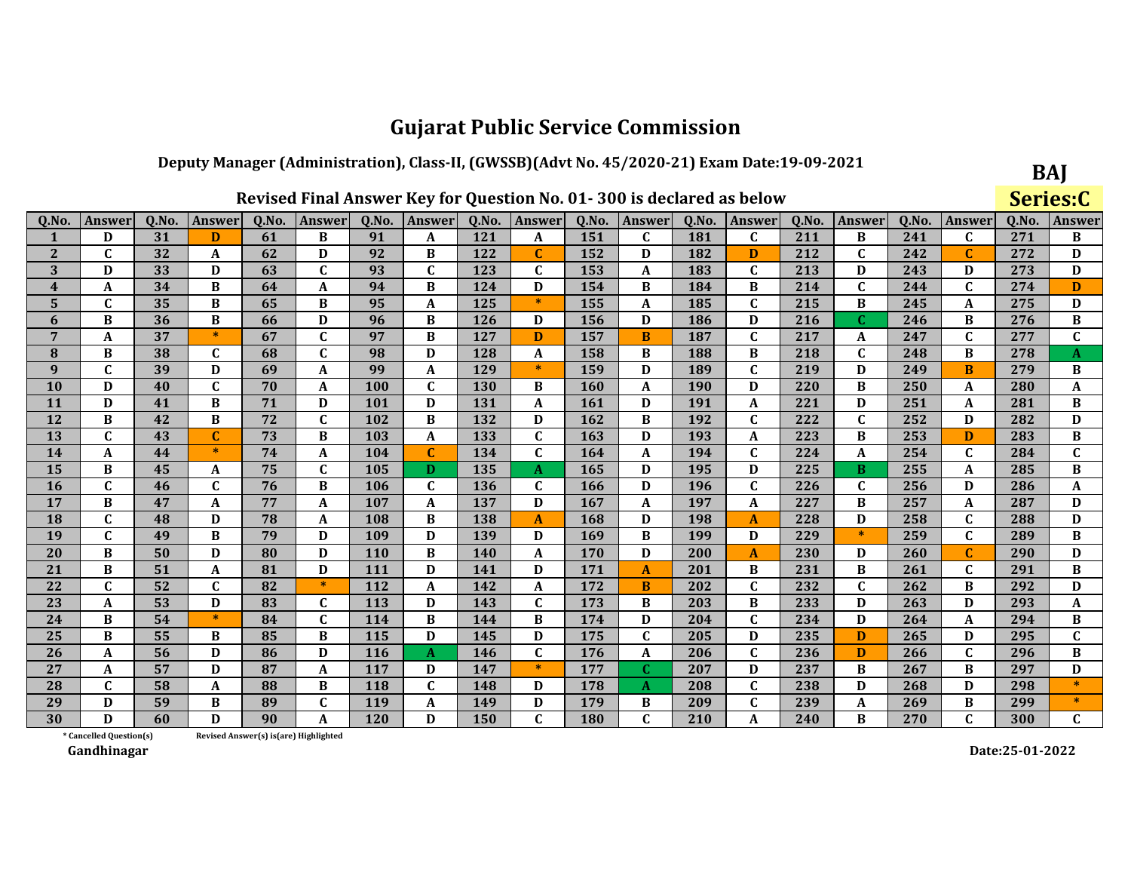### Deputy Manager (Administration), Class-II, (GWSSB)(Advt No. 45/2020-21) Exam Date:19-09-2021

|                |                         |       |              |                 | Revised Final Answer Key for Question No. 01-300 is declared as below |            |              |            |              |       |               |       |               |       |              |       |              |       | Series:C      |
|----------------|-------------------------|-------|--------------|-----------------|-----------------------------------------------------------------------|------------|--------------|------------|--------------|-------|---------------|-------|---------------|-------|--------------|-------|--------------|-------|---------------|
| Q.No.          | <b>Answer</b>           | Q.No. | Answer       | Q.No.           | Answer                                                                | Q.No.      | Answer       | Q.No.      | Answer       | Q.No. | <b>Answer</b> | Q.No. | <b>Answer</b> | Q.No. | Answer       | Q.No. | Answer       | Q.No. | <b>Answer</b> |
| 1              | D                       | 31    | D            | 61              | B                                                                     | 91         | A            | 121        | A            | 151   | $\mathbf{C}$  | 181   | $\mathbf C$   | 211   | B            | 241   | C            | 271   | В             |
| $\mathbf{2}$   | $\mathbf C$             | 32    | A            | 62              | D                                                                     | 92         | B            | 122        | $\mathbf C$  | 152   | D             | 182   | D             | 212   | $\mathbf C$  | 242   | $\mathbf C$  | 272   | D             |
| 3              | D                       | 33    | D            | 63              | $\mathbf C$                                                           | 93         | $\mathbf{C}$ | 123        | $\mathbf{C}$ | 153   | A             | 183   | $\mathbf C$   | 213   | D            | 243   | D            | 273   | D             |
| 4              | $\mathbf A$             | 34    | B            | 64              | $\boldsymbol{\mathsf{A}}$                                             | 94         | B            | 124        | D            | 154   | B             | 184   | B             | 214   | $\mathbf{C}$ | 244   | $\mathbf C$  | 274   | $\mathbf{D}$  |
| 5              | $\mathbf{C}$            | 35    | B            | 65              | B                                                                     | 95         | A            | 125        | $\ast$       | 155   | A             | 185   | $\mathbf C$   | 215   | B            | 245   | A            | 275   | D             |
| 6              | B                       | 36    | B            | 66              | D                                                                     | 96         | B            | 126        | D            | 156   | D             | 186   | D             | 216   | $\mathbf{C}$ | 246   | B            | 276   | $\, {\bf B}$  |
| $\overline{7}$ | A                       | 37    | $\ast$       | 67              | $\mathbf C$                                                           | 97         | B            | 127        | D            | 157   | B             | 187   | $\mathbf C$   | 217   | A            | 247   | $\mathbf C$  | 277   | $\mathbf{C}$  |
| 8              | B                       | 38    | $\mathbf{C}$ | 68              | $\mathbf C$                                                           | 98         | D            | 128        | A            | 158   | B             | 188   | B             | 218   | $\mathbf C$  | 248   | B            | 278   | A             |
| 9              | $\mathbf{C}$            | 39    | D            | 69              | $\boldsymbol{A}$                                                      | 99         | A            | 129        | $\ast$       | 159   | D             | 189   | $\mathbf C$   | 219   | D            | 249   | B            | 279   | $\, {\bf B}$  |
| <b>10</b>      | D                       | 40    | $\mathbf{C}$ | 70              | A                                                                     | 100        | $\mathbf C$  | <b>130</b> | B            | 160   | A             | 190   | D             | 220   | B            | 250   | A            | 280   | A             |
| 11             | D                       | 41    | B            | 71              | D                                                                     | 101        | D            | 131        | A            | 161   | D             | 191   | $\mathbf A$   | 221   | D            | 251   | A            | 281   | B             |
| 12             | B                       | 42    | B            | 72              | $\mathbf{C}$                                                          | 102        | B            | 132        | D            | 162   | B             | 192   | $\mathbf C$   | 222   | $\mathbf{C}$ | 252   | D            | 282   | D             |
| 13             | $\mathbf C$             | 43    | $\mathbf C$  | $\overline{73}$ | B                                                                     | 103        | A            | 133        | $\mathbf{C}$ | 163   | D             | 193   | A             | 223   | B            | 253   | D            | 283   | B             |
| 14             | A                       | 44    | $\ast$       | 74              | $\overline{\mathbf{A}}$                                               | 104        | $\mathbf{C}$ | 134        | $\mathbf{C}$ | 164   | A             | 194   | $\mathbf C$   | 224   | A            | 254   | $\mathbf C$  | 284   | $\mathbf C$   |
| 15             | B                       | 45    | A            | 75              | $\mathbf C$                                                           | 105        | D.           | 135        | A            | 165   | D             | 195   | D             | 225   | $\bf{B}$     | 255   | A            | 285   | $\, {\bf B}$  |
| <b>16</b>      | $\mathbf{C}$            | 46    | $\mathbf{C}$ | 76              | B                                                                     | 106        | $\mathbf{C}$ | 136        | $\mathbf{C}$ | 166   | D             | 196   | $\mathbf C$   | 226   | $\mathbf C$  | 256   | D            | 286   | A             |
| 17             | B                       | 47    | A            | 77              | $\boldsymbol{A}$                                                      | 107        | A            | 137        | D            | 167   | A             | 197   | $\mathbf A$   | 227   | B            | 257   | A            | 287   | D             |
| <b>18</b>      | $\mathbf C$             | 48    | D            | 78              | A                                                                     | 108        | В            | 138        | A            | 168   | D             | 198   | $\mathbf{A}$  | 228   | D            | 258   | $\mathbf C$  | 288   | D             |
| 19             | $\mathbf{C}$            | 49    | B            | 79              | D                                                                     | 109        | D            | 139        | D            | 169   | B             | 199   | D             | 229   | $\ast$       | 259   | $\mathbf C$  | 289   | B             |
| 20             | B                       | 50    | D            | 80              | D                                                                     | 110        | B            | 140        | A            | 170   | D             | 200   | $\mathbf{A}$  | 230   | D            | 260   | Ċ            | 290   | D             |
| 21             | B                       | 51    | A            | 81              | D                                                                     | <b>111</b> | D            | 141        | D            | 171   | A             | 201   | B             | 231   | B            | 261   | C            | 291   | В             |
| 22             | $\mathbf C$             | 52    | $\mathbf{C}$ | 82              | $\ast$                                                                | 112        | A            | 142        | A            | 172   | B             | 202   | $\mathbf C$   | 232   | $\mathbf C$  | 262   | B            | 292   | D             |
| 23             | A                       | 53    | D            | 83              | $\mathbf C$                                                           | 113        | D            | 143        | $\mathbf C$  | 173   | B             | 203   | B             | 233   | D            | 263   | D            | 293   | A             |
| 24             | B                       | 54    | $\ast$       | 84              | $\mathbf{C}$                                                          | 114        | B            | 144        | B            | 174   | D             | 204   | $\mathbf C$   | 234   | D            | 264   | A            | 294   | $\bf{B}$      |
| 25             | B                       | 55    | B            | 85              | B                                                                     | 115        | D            | 145        | D            | 175   | $\mathbf{C}$  | 205   | D             | 235   | D            | 265   | D            | 295   | $\mathbf{C}$  |
| 26             | A                       | 56    | D            | 86              | D                                                                     | 116        | A            | 146        | $\mathbf C$  | 176   | A             | 206   | $\mathbf C$   | 236   | D            | 266   | $\mathbf C$  | 296   | B             |
| 27             | $\mathbf A$             | 57    | D            | 87              | $\boldsymbol{A}$                                                      | 117        | D            | 147        | $\ast$       | 177   | $\mathbf{C}$  | 207   | D             | 237   | B            | 267   | B            | 297   | D             |
| 28             | $\mathbf C$             | 58    | A            | 88              | B                                                                     | 118        | C            | 148        | D            | 178   | $\bf{A}$      | 208   | $\mathbf C$   | 238   | D            | 268   | D            | 298   | $\ast$        |
| 29             | D                       | 59    | B            | 89              | $\mathbf C$                                                           | 119        | A            | 149        | D            | 179   | B             | 209   | $\mathbf C$   | 239   | A            | 269   | B            | 299   | $\ast$        |
| 30             | D                       | 60    | D            | 90              | A                                                                     | 120        | D            | 150        | $\mathbf{C}$ | 180   | $\mathbf{C}$  | 210   | $\mathbf{A}$  | 240   | B            | 270   | $\mathbf{C}$ | 300   | $\mathbf{C}$  |
|                | * Cancelled Question(s) |       |              |                 | Revised Answer(s) is(are) Highlighted                                 |            |              |            |              |       |               |       |               |       |              |       |              |       |               |

Revised Answer(s) is(are) Highlighted

Gandhinagar

Date:25-01-2022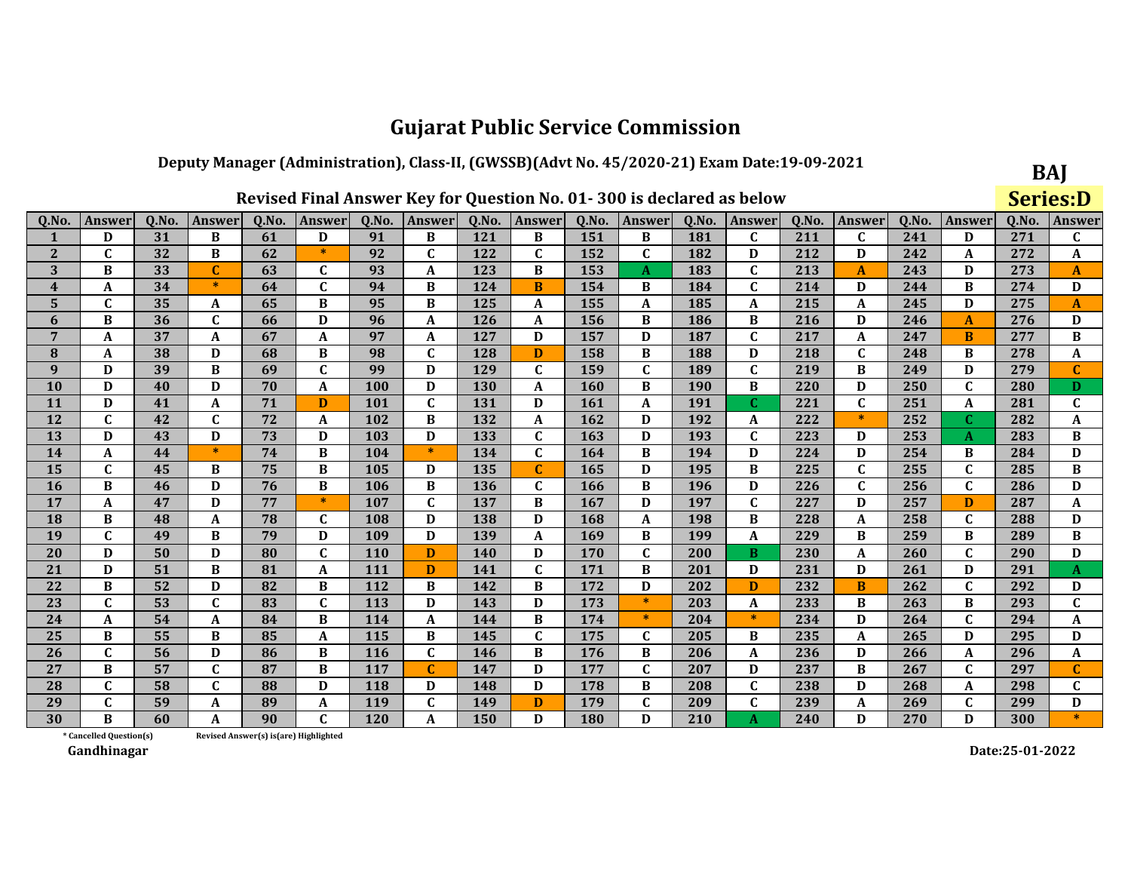### Deputy Manager (Administration), Class-II, (GWSSB)(Advt No. 45/2020-21) Exam Date:19-09-2021  $\sim$

|                         |                         |       |              |                                       |                           |            | Revised Final Answer Key for Question No. 01-300 is declared as below |            |              |            |              |       |                  |       |              |       |             |       | <b>Series:D</b>  |
|-------------------------|-------------------------|-------|--------------|---------------------------------------|---------------------------|------------|-----------------------------------------------------------------------|------------|--------------|------------|--------------|-------|------------------|-------|--------------|-------|-------------|-------|------------------|
| Q.No.                   | Answer                  | Q.No. | Answer       | Q.No.                                 | Answer                    | Q.No.      | Answer                                                                | Q.No.      | Answer       | Q.No.      | Answer       | Q.No. | <b>Answer</b>    | Q.No. | Answer       | Q.No. | Answer      | Q.No. | Answer           |
| 1                       | D                       | 31    | B            | 61                                    | D                         | 91         | B                                                                     | 121        | B            | 151        | B            | 181   | C                | 211   | $\mathbf C$  | 241   | D           | 271   | C                |
| $\mathbf{2}$            | C                       | 32    | B            | 62                                    | $\ast$                    | 92         | $\mathbf{C}$                                                          | 122        | $\mathbf{C}$ | 152        | $\mathbf{C}$ | 182   | D                | 212   | D            | 242   | A           | 272   | A                |
| 3                       | B                       | 33    | $\mathbf C$  | 63                                    | $\mathbf C$               | 93         | A                                                                     | 123        | B            | 153        | A            | 183   | $\mathbf C$      | 213   | $\mathbf{A}$ | 243   | D           | 273   | A                |
| $\overline{\mathbf{4}}$ | A                       | 34    | $\ast$       | 64                                    | $\mathbf{C}$              | 94         | B                                                                     | 124        | B            | 154        | B            | 184   | $\mathbf C$      | 214   | D            | 244   | B           | 274   | D                |
| 5                       | C                       | 35    | A            | 65                                    | B                         | 95         | B                                                                     | 125        | A            | 155        | A            | 185   | $\boldsymbol{A}$ | 215   | A            | 245   | D           | 275   | $\boldsymbol{A}$ |
| 6                       | B                       | 36    | $\mathbf C$  | 66                                    | D                         | 96         | A                                                                     | 126        | A            | 156        | B            | 186   | B                | 216   | D            | 246   | A           | 276   | D                |
| $7\phantom{.0}$         | A                       | 37    | A            | 67                                    | A                         | 97         | A                                                                     | 127        | D            | 157        | D            | 187   | $\mathbf C$      | 217   | A            | 247   | B           | 277   | B                |
| 8                       | A                       | 38    | D            | 68                                    | B                         | 98         | $\mathbf C$                                                           | 128        | D            | 158        | B            | 188   | D                | 218   | C            | 248   | B           | 278   | A                |
| 9                       | D                       | 39    | B            | 69                                    | $\mathbf C$               | 99         | D                                                                     | 129        | $\mathbf{C}$ | 159        | $\mathbf{C}$ | 189   | $\mathbf{C}$     | 219   | B            | 249   | D           | 279   | C                |
| 10                      | D                       | 40    | D            | 70                                    | $\mathbf{A}$              | 100        | D                                                                     | 130        | A            | 160        | B            | 190   | B                | 220   | D            | 250   | $\mathbf C$ | 280   | D.               |
| 11                      | D                       | 41    | A            | 71                                    | D                         | <b>101</b> | C                                                                     | 131        | D            | <b>161</b> | A            | 191   | C                | 221   | C            | 251   | A           | 281   | C                |
| 12                      | C                       | 42    | C            | 72                                    | A                         | 102        | B                                                                     | 132        | A            | 162        | D            | 192   | A                | 222   | $\ast$       | 252   | C           | 282   | A                |
| 13                      | D                       | 43    | D            | 73                                    | D                         | 103        | D                                                                     | 133        | $\mathbf C$  | 163        | D            | 193   | $\mathbf C$      | 223   | D            | 253   | A           | 283   | $\bf{B}$         |
| 14                      | A                       | 44    | $\ast$       | 74                                    | B                         | 104        | $\ast$                                                                | 134        | $\mathbf C$  | 164        | B            | 194   | D                | 224   | D            | 254   | B           | 284   | D                |
| 15                      | C                       | 45    | B            | 75                                    | $\bf{B}$                  | 105        | D                                                                     | 135        | $\mathbf C$  | 165        | D            | 195   | B                | 225   | $\mathbf C$  | 255   | $\mathbf C$ | 285   | B                |
| 16                      | B                       | 46    | D            | 76                                    | B                         | 106        | B                                                                     | 136        | $\mathbf{C}$ | 166        | B            | 196   | D                | 226   | $\mathbf C$  | 256   | $\mathbf C$ | 286   | D                |
| 17                      | A                       | 47    | D            | 77                                    | $\ast$                    | 107        | $\mathbf C$                                                           | 137        | B            | 167        | D            | 197   | $\mathbf{C}$     | 227   | D            | 257   | D           | 287   | A                |
| 18                      | B                       | 48    | A            | 78                                    | $\mathbf C$               | 108        | D                                                                     | 138        | D            | 168        | A            | 198   | B                | 228   | A            | 258   | $\mathbf C$ | 288   | D                |
| 19                      | C                       | 49    | B            | 79                                    | D                         | 109        | D                                                                     | 139        | A            | 169        | B            | 199   | $\boldsymbol{A}$ | 229   | B            | 259   | B           | 289   | B                |
| 20                      | D                       | 50    | D            | 80                                    | $\mathbf C$               | <b>110</b> | D                                                                     | <b>140</b> | D            | 170        | $\mathbf{C}$ | 200   | B                | 230   | A            | 260   | $\mathbf C$ | 290   | D                |
| 21                      | D                       | 51    | $\, {\bf B}$ | 81                                    | $\boldsymbol{A}$          | 111        | D                                                                     | 141        | $\mathbf C$  | 171        | B            | 201   | D                | 231   | D            | 261   | D           | 291   | A                |
| 22                      | B                       | 52    | D            | 82                                    | B                         | 112        | B                                                                     | 142        | B            | 172        | D            | 202   | D                | 232   | B            | 262   | $\mathbf C$ | 292   | D                |
| 23                      | C                       | 53    | $\mathbf C$  | 83                                    | $\mathbf C$               | 113        | D                                                                     | 143        | D            | 173        | $\ast$       | 203   | A                | 233   | B            | 263   | B           | 293   | $\mathbf C$      |
| 24                      | A                       | 54    | A            | 84                                    | B                         | 114        | A                                                                     | 144        | B            | 174        | $\ast$       | 204   | $\ast$           | 234   | D            | 264   | $\mathbf C$ | 294   | A                |
| 25                      | B                       | 55    | B            | 85                                    | A                         | 115        | B                                                                     | 145        | $\mathbf C$  | 175        | $\mathbf{C}$ | 205   | B                | 235   | A            | 265   | D           | 295   | D                |
| 26                      | C                       | 56    | D            | 86                                    | B                         | <b>116</b> | C                                                                     | 146        | B            | 176        | B            | 206   | A                | 236   | D            | 266   | A           | 296   | A                |
| 27                      | B                       | 57    | $\mathbf{C}$ | 87                                    | $\bf{B}$                  | 117        | $\mathbf{C}$                                                          | 147        | D            | 177        | $\mathbf{C}$ | 207   | D                | 237   | B            | 267   | $\mathbf C$ | 297   | $\mathbf{C}$     |
| 28                      | $\mathbf{C}$            | 58    | $\mathbf{C}$ | 88                                    | D                         | 118        | D                                                                     | 148        | D            | 178        | B            | 208   | $\mathbf C$      | 238   | D            | 268   | A           | 298   | C                |
| 29                      | $\mathbf{C}$            | 59    | A            | 89                                    | $\boldsymbol{\mathsf{A}}$ | 119        | $\mathbf C$                                                           | 149        | D            | 179        | $\mathbf{C}$ | 209   | $\mathbf{C}$     | 239   | A            | 269   | $\mathbf C$ | 299   | D                |
| 30                      | B                       | 60    | A            | 90                                    | $\mathbf C$               | <b>120</b> | A                                                                     | 150        | D            | 180        | D            | 210   | $\mathbf{A}$     | 240   | D            | 270   | D           | 300   | $\ast$           |
|                         | * Cancelled Question(s) |       |              | Revised Answer(s) is(are) Highlighted |                           |            |                                                                       |            |              |            |              |       |                  |       |              |       |             |       |                  |

Revised Answer(s) is(are) Highlighted

Gandhinagar

Date:25-01-2022

BAJ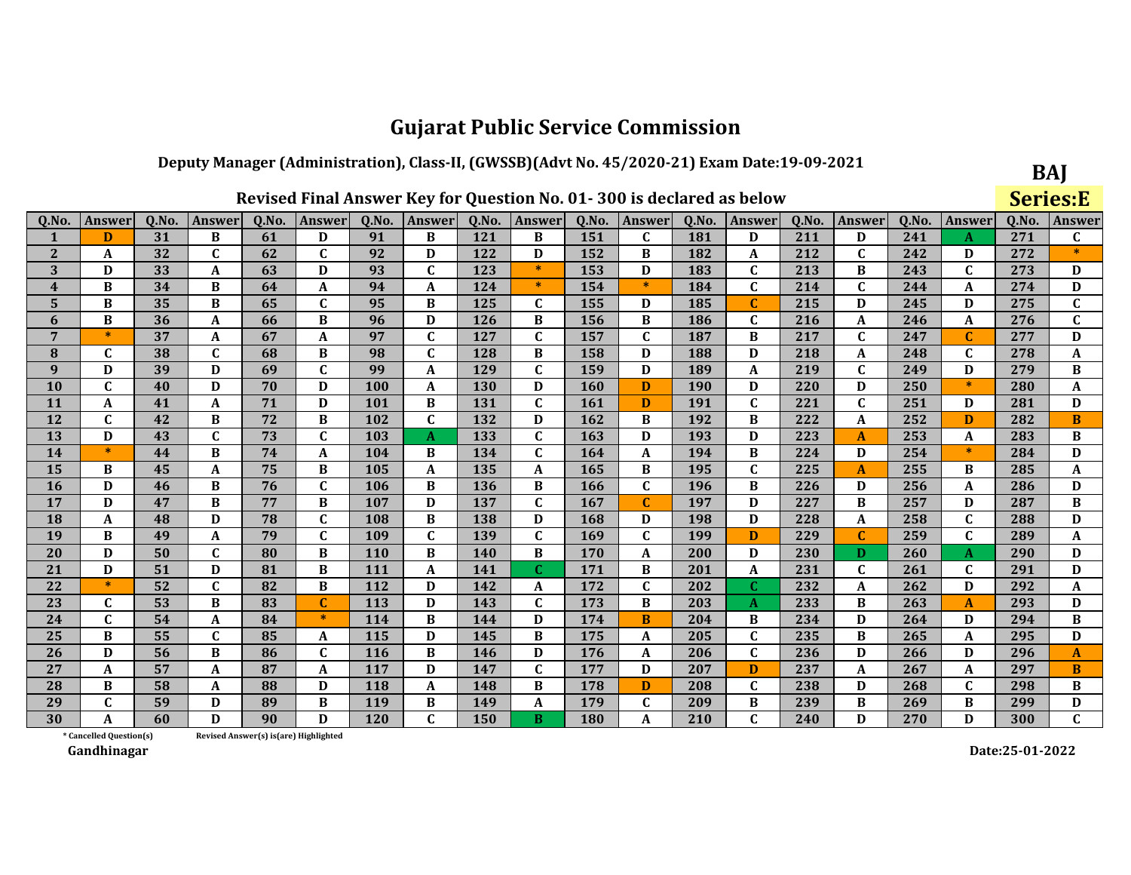### Deputy Manager (Administration), Class-II, (GWSSB)(Advt No. 45/2020-21) Exam Date:19-09-2021

|              |                         |       |               |                                        |              |            |              |            |              |       | Revised Final Answer Key for Question No. 01-300 is declared as below |       |              |       |               |       |              |       | <b>Series:E</b> |
|--------------|-------------------------|-------|---------------|----------------------------------------|--------------|------------|--------------|------------|--------------|-------|-----------------------------------------------------------------------|-------|--------------|-------|---------------|-------|--------------|-------|-----------------|
| Q.No         | Answer                  | Q.No. | <b>Answer</b> | Q.No.                                  | Answer       | Q.No.      | Answer       | Q.No.      | Answer       | Q.No. | Answer                                                                | Q.No. | Answer       | Q.No. | <b>Answer</b> | Q.No. | Answer       | Q.No. | <b>Answer</b>   |
|              | D                       | 31    | B             | 61                                     | D            | 91         | B            | 121        | B            | 151   | $\mathbf{C}$                                                          | 181   | D            | 211   | D             | 241   | A            | 271   | $\mathbf{C}$    |
| $\mathbf{2}$ | A                       | 32    | $\mathbf C$   | 62                                     | $\mathbf C$  | 92         | D            | 122        | D            | 152   | B                                                                     | 182   | A            | 212   | $\mathbf C$   | 242   | D            | 272   |                 |
| 3            | D                       | 33    | A             | 63                                     | D            | 93         | $\mathbf C$  | 123        | 米            | 153   | D                                                                     | 183   | $\mathbf C$  | 213   | B             | 243   | $\mathbf{C}$ | 273   | D               |
| 4            | B                       | 34    | B             | 64                                     | A            | 94         | A            | 124        | $\ast$       | 154   | $\ast$                                                                | 184   | $\mathbf{C}$ | 214   | $\mathbf C$   | 244   | A            | 274   | D               |
| 5            | B                       | 35    | B             | 65                                     | $\mathbf{C}$ | 95         | B            | 125        | $\mathbf{C}$ | 155   | D                                                                     | 185   | C            | 215   | D             | 245   | D            | 275   | $\mathbf{C}$    |
| 6            | B                       | 36    | A             | 66                                     | B            | 96         | D            | 126        | B            | 156   | B                                                                     | 186   | $\mathbf C$  | 216   | A             | 246   | A            | 276   | $\mathbf{C}$    |
| 7            | $\ast$                  | 37    | A             | 67                                     | A            | 97         | $\mathbf C$  | 127        | $\mathbf C$  | 157   | $\mathbf C$                                                           | 187   | B            | 217   | $\mathbf C$   | 247   | C            | 277   | D               |
| 8            | $\mathbf{C}$            | 38    | $\mathbf C$   | 68                                     | B            | 98         | $\mathbf C$  | 128        | B            | 158   | D                                                                     | 188   | D            | 218   | A             | 248   | C            | 278   | A               |
| 9            | D                       | 39    | D             | 69                                     | $\mathbf{C}$ | 99         | A            | 129        | $\mathbf C$  | 159   | D                                                                     | 189   | A            | 219   | $\mathbf{C}$  | 249   | D            | 279   | B               |
| 10           | $\mathbf C$             | 40    | D             | 70                                     | D            | 100        | A            | 130        | D            | 160   | D                                                                     | 190   | D            | 220   | D             | 250   | $\ast$       | 280   | A               |
| 11           | A                       | 41    | A             | 71                                     | D            | 101        | B            | 131        | $\mathbf{C}$ | 161   | D                                                                     | 191   | $\mathbf{C}$ | 221   | $\mathbf C$   | 251   | D            | 281   | D               |
| 12           | $\mathbf{C}$            | 42    | B             | 72                                     | B            | 102        | $\mathbf{C}$ | 132        | D            | 162   | B                                                                     | 192   | B            | 222   | A             | 252   | D            | 282   | B               |
| 13           | D                       | 43    | $\mathbf{C}$  | 73                                     | $\mathbf{C}$ | 103        | $\mathbf{A}$ | 133        | $\mathbf C$  | 163   | D                                                                     | 193   | D            | 223   | $\mathbf{A}$  | 253   | A            | 283   | B               |
| 14           | $\ast$                  | 44    | B             | 74                                     | A            | 104        | B            | 134        | $\mathbf C$  | 164   | A                                                                     | 194   | B            | 224   | D             | 254   | $\ast$       | 284   | D               |
| 15           | B                       | 45    | A             | 75                                     | B            | 105        | A            | 135        | A            | 165   | B                                                                     | 195   | $\mathbf C$  | 225   | $\mathbf{A}$  | 255   | B            | 285   | A               |
| <b>16</b>    | D                       | 46    | B             | 76                                     | $\mathbf{C}$ | 106        | B            | 136        | B            | 166   | $\mathbf{C}$                                                          | 196   | B            | 226   | D             | 256   | A            | 286   | D               |
| 17           | D                       | 47    | B             | 77                                     | B            | 107        | D            | 137        | $\mathbf C$  | 167   | $\mathbf C$                                                           | 197   | D            | 227   | В             | 257   | D            | 287   | B               |
| 18           | A                       | 48    | D             | 78                                     | $\mathbf{C}$ | 108        | B            | 138        | D            | 168   | D                                                                     | 198   | D            | 228   | A             | 258   | $\mathbf C$  | 288   | D               |
| 19           | B                       | 49    | A             | 79                                     | $\mathbf C$  | 109        | $\mathbf C$  | 139        | $\mathbf C$  | 169   | $\mathbf C$                                                           | 199   | D            | 229   | $\mathbf{C}$  | 259   | $\mathbf{C}$ | 289   | A               |
| 20           | D                       | 50    | $\mathbf{C}$  | 80                                     | B            | 110        | B            | <b>140</b> | B            | 170   | A                                                                     | 200   | D            | 230   | D             | 260   | A            | 290   | D               |
| 21           | D                       | 51    | D             | 81                                     | B            | 111        | $\mathbf{A}$ | 141        | C.           | 171   | B                                                                     | 201   | A            | 231   | $\mathbf C$   | 261   | $\mathbf{C}$ | 291   | D               |
| 22           | $\ast$                  | 52    | $\mathbf C$   | 82                                     | B            | 112        | D            | 142        | A            | 172   | $\mathbf{C}$                                                          | 202   | C            | 232   | A             | 262   | D            | 292   | A               |
| 23           | C                       | 53    | B             | 83                                     | $\mathbf C$  | 113        | D            | 143        | $\mathbf C$  | 173   | B                                                                     | 203   | A            | 233   | В             | 263   | A            | 293   | D               |
| 24           | $\mathbf C$             | 54    | A             | 84                                     | $\ast$       | 114        | B            | 144        | D            | 174   | B                                                                     | 204   | B            | 234   | D             | 264   | D            | 294   | В               |
| 25           | B                       | 55    | $\mathbf{C}$  | 85                                     | $\mathbf{A}$ | 115        | D            | 145        | B            | 175   | A                                                                     | 205   | $\mathbf C$  | 235   | B             | 265   | A            | 295   | D               |
| 26           | D                       | 56    | B             | 86                                     | $\mathbf C$  | <b>116</b> | B            | 146        | D            | 176   | A                                                                     | 206   | $\mathbf{C}$ | 236   | D             | 266   | D            | 296   | A               |
| 27           | A                       | 57    | A             | 87                                     | A            | 117        | D            | 147        | $\mathbf{C}$ | 177   | D                                                                     | 207   | D            | 237   | A             | 267   | A            | 297   | $\bf{B}$        |
| 28           | B                       | 58    | A             | 88                                     | D            | 118        | A            | 148        | B            | 178   | D                                                                     | 208   | C            | 238   | D             | 268   | C            | 298   | В               |
| 29           | $\mathbf{C}$            | 59    | D             | 89                                     | B            | 119        | B            | 149        | A            | 179   | $\mathbf C$                                                           | 209   | B            | 239   | B             | 269   | B            | 299   | D               |
| 30           | A                       | 60    | D             | 90                                     | D            | 120        | $\mathbf{C}$ | 150        | B            | 180   | A                                                                     | 210   | $\mathbf C$  | 240   | D             | 270   | D            | 300   | $\mathbf{C}$    |
|              | * Cancelled Question(s) |       |               | Revised Answer(s) is (are) Highlighted |              |            |              |            |              |       |                                                                       |       |              |       |               |       |              |       |                 |

Revised Answer(s) is(are) Highlighted

Gandhinagar

Date:25-01-2022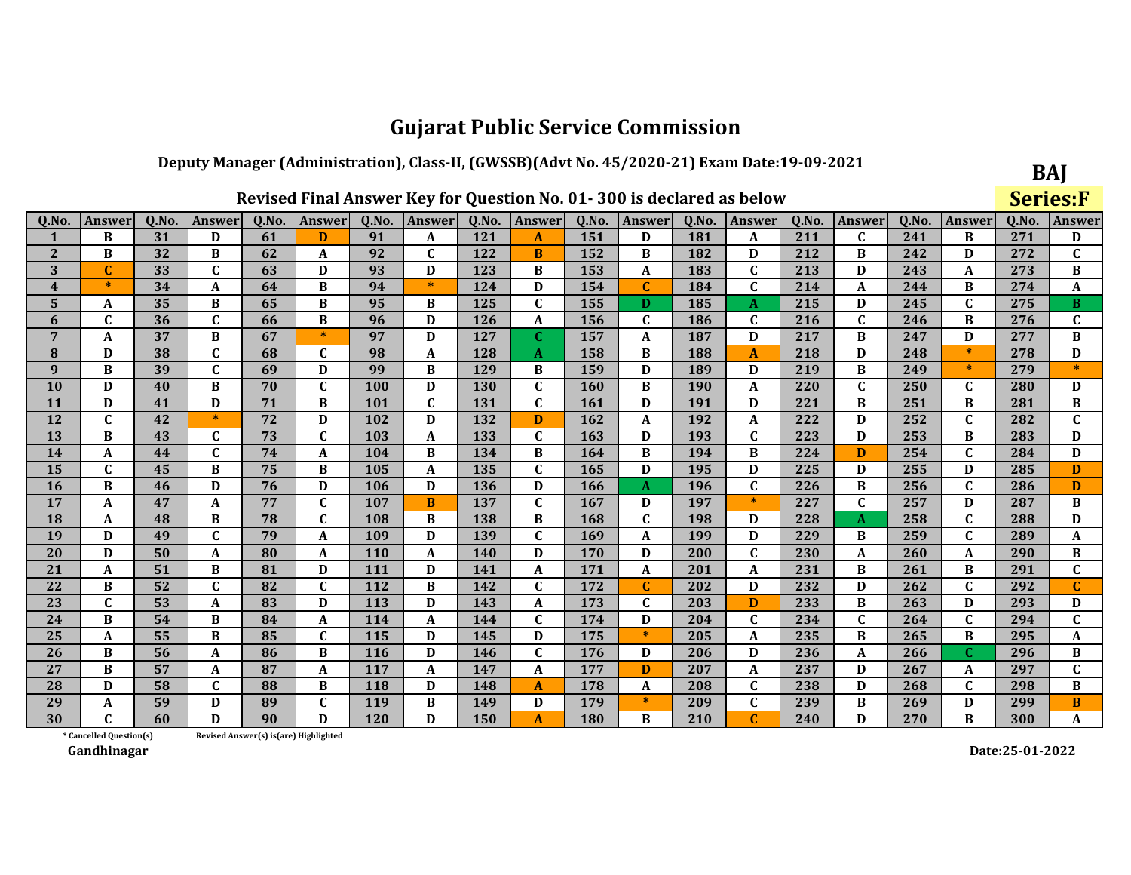### Deputy Manager (Administration), Class-II, (GWSSB)(Advt No. 45/2020-21) Exam Date:19-09-2021

|              |                         |       |               |                                        |              |       |                  |       | Revised Final Answer Key for Question No. 01-300 is declared as below |       |              |       |                  |       |                           |       |               |       | <b>Series:F</b> |
|--------------|-------------------------|-------|---------------|----------------------------------------|--------------|-------|------------------|-------|-----------------------------------------------------------------------|-------|--------------|-------|------------------|-------|---------------------------|-------|---------------|-------|-----------------|
| Q.No         | <b>Answer</b>           | Q.No. | <b>Answer</b> | Q.No.                                  | Answer       | Q.No. | Answer           | Q.No. | Answer                                                                | Q.No. | Answer       | Q.No. | <b>Answer</b>    | Q.No. | <b>Answer</b>             | Q.No. | <b>Answer</b> | Q.No. | Answer          |
|              | B                       | 31    | D             | 61                                     | D            | 91    | A                | 121   | A                                                                     | 151   | D            | 181   | A                | 211   | $\mathbf{C}$              | 241   | B             | 271   | D               |
| $\mathbf{2}$ | B                       | 32    | B             | 62                                     | A            | 92    | $\mathbf C$      | 122   | B                                                                     | 152   | B            | 182   | D                | 212   | B                         | 242   | D             | 272   | C               |
| 3            | C                       | 33    | $\mathbf{C}$  | 63                                     | D            | 93    | D                | 123   | B                                                                     | 153   | A            | 183   | $\mathbf C$      | 213   | D                         | 243   | A             | 273   | B               |
| 4            | $*$                     | 34    | A             | 64                                     | B            | 94    | $\ast$           | 124   | D                                                                     | 154   | $\mathbf{C}$ | 184   | $\mathbf{C}$     | 214   | A                         | 244   | B             | 274   | A               |
| 5            | A                       | 35    | B             | 65                                     | B            | 95    | B                | 125   | $\mathbf{C}$                                                          | 155   | D            | 185   | A                | 215   | D                         | 245   | $\mathbf C$   | 275   | B               |
| 6            | $\mathbf{C}$            | 36    | $\mathbf C$   | 66                                     | B            | 96    | D                | 126   | A                                                                     | 156   | $\mathbf{C}$ | 186   | $\mathbf C$      | 216   | $\mathbf{C}$              | 246   | B             | 276   | $\mathbf C$     |
| 7            | A                       | 37    | B             | 67                                     | $\ast$       | 97    | D                | 127   | C                                                                     | 157   | A            | 187   | D                | 217   | B                         | 247   | D             | 277   | B               |
| 8            | D                       | 38    | $\mathbf C$   | 68                                     | $\mathbf{C}$ | 98    | $\boldsymbol{A}$ | 128   | A                                                                     | 158   | B            | 188   | $\boldsymbol{A}$ | 218   | D                         | 248   | $\ast$        | 278   | D               |
| 9            | B                       | 39    | C             | 69                                     | D            | 99    | B                | 129   | B                                                                     | 159   | D            | 189   | D                | 219   | B                         | 249   | $\ast$        | 279   | $\ast$          |
| 10           | D                       | 40    | B             | 70                                     | $\mathbf{C}$ | 100   | D                | 130   | $\mathbf{C}$                                                          | 160   | $\bf{B}$     | 190   | $\boldsymbol{A}$ | 220   | $\overline{\mathfrak{c}}$ | 250   | $\mathbf C$   | 280   | D               |
| 11           | D                       | 41    | D             | 71                                     | B            | 101   | $\mathbf{C}$     | 131   | $\mathbf{C}$                                                          | 161   | D            | 191   | D                | 221   | B                         | 251   | B             | 281   | B               |
| 12           | $\mathbf{C}$            | 42    | $\ast$        | 72                                     | D            | 102   | D                | 132   | D                                                                     | 162   | A            | 192   | $\mathbf{A}$     | 222   | D                         | 252   | $\mathbf C$   | 282   | $\mathbf{C}$    |
| 13           | B                       | 43    | C             | 73                                     | $\mathbf C$  | 103   | A                | 133   | $\mathbf{C}$                                                          | 163   | D            | 193   | $\mathbf C$      | 223   | D                         | 253   | B             | 283   | D               |
| 14           | A                       | 44    | C             | 74                                     | A            | 104   | B                | 134   | B                                                                     | 164   | B            | 194   | B                | 224   | D                         | 254   | $\mathbf C$   | 284   | D               |
| 15           | $\mathbf{C}$            | 45    | B             | 75                                     | B            | 105   | A                | 135   | $\mathbf C$                                                           | 165   | D            | 195   | D                | 225   | D                         | 255   | D             | 285   | D               |
| 16           | B                       | 46    | D             | 76                                     | D            | 106   | D                | 136   | D                                                                     | 166   | A            | 196   | $\mathbf C$      | 226   | B                         | 256   | $\mathbf C$   | 286   | D               |
| 17           | A                       | 47    | A             | 77                                     | $\mathbf C$  | 107   | B                | 137   | $\mathbf{C}$                                                          | 167   | D            | 197   | $\ast$           | 227   | $\mathbf C$               | 257   | D             | 287   | B               |
| 18           | A                       | 48    | В             | 78                                     | $\mathbf C$  | 108   | B                | 138   | B                                                                     | 168   | $\mathbf{C}$ | 198   | D                | 228   | A                         | 258   | $\mathbf C$   | 288   | D               |
| 19           | D                       | 49    | $\mathbf C$   | 79                                     | A            | 109   | D                | 139   | $\mathbf C$                                                           | 169   | A            | 199   | D                | 229   | B                         | 259   | $\mathbf C$   | 289   | A               |
| 20           | D                       | 50    | A             | 80                                     | A            | 110   | A                | 140   | D                                                                     | 170   | D            | 200   | $\mathbf C$      | 230   | A                         | 260   | A             | 290   | B               |
| 21           | A                       | 51    | B             | 81                                     | D            | 111   | D                | 141   | A                                                                     | 171   | A            | 201   | A                | 231   | B                         | 261   | B             | 291   | $\mathbf{C}$    |
| 22           | B                       | 52    | C             | 82                                     | $\mathbf C$  | 112   | B                | 142   | $\mathbf{C}$                                                          | 172   | $\mathbf C$  | 202   | D                | 232   | D                         | 262   | $\mathbf C$   | 292   | $\mathbf{C}$    |
| 23           | $\mathbf C$             | 53    | A             | 83                                     | D            | 113   | D                | 143   | A                                                                     | 173   | C            | 203   | D                | 233   | B                         | 263   | D             | 293   | D               |
| 24           | B                       | 54    | B             | 84                                     | A            | 114   | A                | 144   | $\mathbf{C}$                                                          | 174   | D            | 204   | $\mathbf{C}$     | 234   | C                         | 264   | $\mathbf C$   | 294   | $\mathbf{C}$    |
| 25           | A                       | 55    | B             | 85                                     | $\mathbf C$  | 115   | D                | 145   | D                                                                     | 175   | $\ast$       | 205   | $\mathbf{A}$     | 235   | B                         | 265   | B             | 295   | A               |
| 26           | B                       | 56    | A             | 86                                     | B            | 116   | D                | 146   | $\mathbf{C}$                                                          | 176   | D            | 206   | D                | 236   | A                         | 266   | $\mathbf C$   | 296   | B               |
| 27           | B                       | 57    | A             | 87                                     | A            | 117   | A                | 147   | A                                                                     | 177   | D            | 207   | A                | 237   | D                         | 267   | A             | 297   | $\mathbf{C}$    |
| 28           | D                       | 58    | C             | 88                                     | B            | 118   | D                | 148   | A                                                                     | 178   | A            | 208   | $\mathbf C$      | 238   | D                         | 268   | C             | 298   | B               |
| 29           | A                       | 59    | D             | 89                                     | $\mathbf{C}$ | 119   | B                | 149   | D                                                                     | 179   | $\ast$       | 209   | $\mathbf{C}$     | 239   | B                         | 269   | D             | 299   | B               |
| 30           | C                       | 60    | $\mathbf{D}$  | 90                                     | D            | 120   | D                | 150   | $\mathbf{A}$                                                          | 180   | B            | 210   | C                | 240   | D                         | 270   | B             | 300   | A               |
|              | * Cancelled Question(s) |       |               | Revised Answer(s) is (are) Highlighted |              |       |                  |       |                                                                       |       |              |       |                  |       |                           |       |               |       |                 |

Revised Answer(s) is(are) Highlighted

Gandhinagar

Date:25-01-2022

BAJ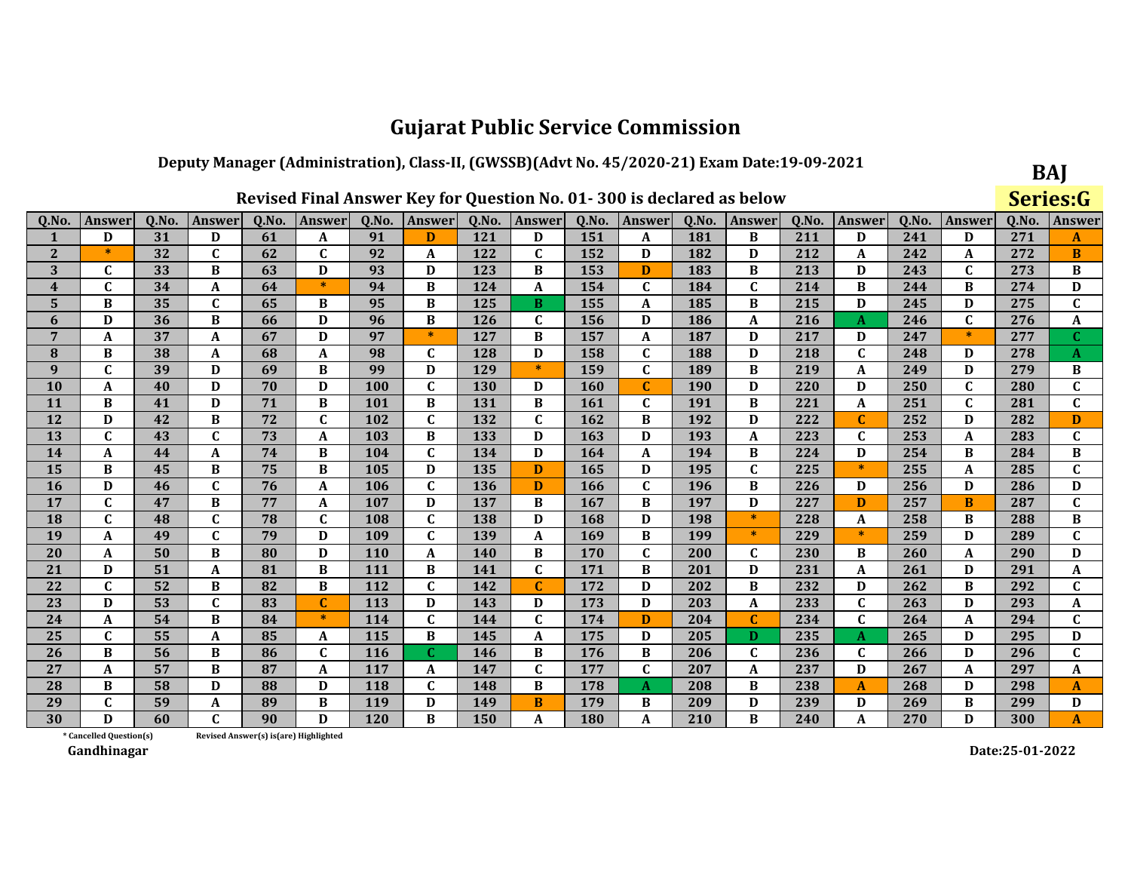### Deputy Manager (Administration), Class-II, (GWSSB)(Advt No. 45/2020-21) Exam Date:19-09-2021  $\sim$

|                |                         |       |              |                                       |               |            |              |       | Revised Final Answer Key for Question No. 01-300 is declared as below |       |              |       |             |       |              |       |              |       | Series:G     |
|----------------|-------------------------|-------|--------------|---------------------------------------|---------------|------------|--------------|-------|-----------------------------------------------------------------------|-------|--------------|-------|-------------|-------|--------------|-------|--------------|-------|--------------|
| Q.No.          | Answer                  | Q.No. | Answer       | Q.No.                                 | <b>Answer</b> | Q.No.      | Answer       | Q.No. | Answer                                                                | Q.No. | Answer       | Q.No. | Answer      | Q.No. | Answer       | Q.No. | Answer       | Q.No. | Answer       |
| 1              | D                       | 31    | D            | 61                                    | A             | 91         | D            | 121   | D                                                                     | 151   | A            | 181   | B           | 211   | D            | 241   | D            | 271   | A            |
| $\mathbf{2}$   | $\ast$                  | 32    | $\mathbf{C}$ | 62                                    | $\mathbf C$   | 92         | A            | 122   | $\mathbf C$                                                           | 152   | D            | 182   | D           | 212   | A            | 242   | A            | 272   | B            |
| 3              | C                       | 33    | B            | 63                                    | D             | 93         | D            | 123   | B                                                                     | 153   | D            | 183   | B           | 213   | D            | 243   | C            | 273   | B            |
| $\overline{4}$ | C                       | 34    | A            | 64                                    | $\ast$        | 94         | B            | 124   | A                                                                     | 154   | $\mathbf{C}$ | 184   | $\mathbf C$ | 214   | B            | 244   | B            | 274   | D            |
| 5              | B                       | 35    | $\mathbf C$  | 65                                    | B             | 95         | B            | 125   | B.                                                                    | 155   | A            | 185   | B           | 215   | D            | 245   | D            | 275   | $\mathbf C$  |
| 6              | D                       | 36    | B            | 66                                    | D             | 96         | B            | 126   | C                                                                     | 156   | D            | 186   | $\mathbf A$ | 216   | A            | 246   | $\mathbf C$  | 276   | A            |
| 7              | A                       | 37    | A            | 67                                    | D             | 97         | $\ast$       | 127   | B                                                                     | 157   | A            | 187   | D           | 217   | D            | 247   | $\ast$       | 277   | $\mathbf{C}$ |
| 8              | B                       | 38    | A            | 68                                    | A             | 98         | $\mathbf{C}$ | 128   | D                                                                     | 158   | $\mathbf C$  | 188   | D           | 218   | $\mathbf{C}$ | 248   | D            | 278   | A            |
| 9              | C                       | 39    | D            | 69                                    | B             | 99         | D            | 129   | $\ast$                                                                | 159   | C            | 189   | B           | 219   | A            | 249   | D            | 279   | B            |
| 10             | A                       | 40    | D            | 70                                    | D             | 100        | C            | 130   | D                                                                     | 160   | $\mathbf{C}$ | 190   | D           | 220   | D            | 250   | $\mathbf{C}$ | 280   | $\mathbf{C}$ |
| <b>11</b>      | B                       | 41    | D            | 71                                    | B             | 101        | B            | 131   | B                                                                     | 161   | C            | 191   | B           | 221   | A            | 251   | $\mathbf C$  | 281   | $\mathbf C$  |
| 12             | D                       | 42    | B            | 72                                    | $\mathbf C$   | 102        | $\mathbf{C}$ | 132   | $\mathbf C$                                                           | 162   | B            | 192   | D           | 222   | $\mathbf{C}$ | 252   | D            | 282   | D            |
| 13             | C                       | 43    | $\mathbf C$  | 73                                    | A             | 103        | B            | 133   | D                                                                     | 163   | D            | 193   | A           | 223   | C            | 253   | A            | 283   | C            |
| 14             | A                       | 44    | A            | 74                                    | B             | 104        | C            | 134   | D                                                                     | 164   | A            | 194   | B           | 224   | D            | 254   | B            | 284   | B            |
| 15             | B                       | 45    | B            | 75                                    | B             | 105        | D            | 135   | D                                                                     | 165   | D            | 195   | $\mathbf C$ | 225   | $\ast$       | 255   | A            | 285   | $\mathbf C$  |
| 16             | D                       | 46    | $\mathbf C$  | 76                                    | $\mathbf A$   | 106        | $\mathbf{C}$ | 136   | D                                                                     | 166   | $\mathbf C$  | 196   | B           | 226   | D            | 256   | D            | 286   | D            |
| 17             | $\mathbf{C}$            | 47    | B            | 77                                    | $\mathbf A$   | 107        | D            | 137   | B                                                                     | 167   | B            | 197   | D           | 227   | D            | 257   | B            | 287   | $\mathbf C$  |
| 18             | C                       | 48    | $\mathbf C$  | 78                                    | $\mathbf C$   | 108        | $\mathbf{C}$ | 138   | D                                                                     | 168   | D            | 198   | $\ast$      | 228   | A            | 258   | B            | 288   | B            |
| 19             | A                       | 49    | $\mathbf C$  | 79                                    | D             | 109        | C            | 139   | A                                                                     | 169   | B            | 199   | $\ast$      | 229   | $\ast$       | 259   | D            | 289   | $\mathbf C$  |
| <b>20</b>      | A                       | 50    | B            | 80                                    | D             | <b>110</b> | A            | 140   | B                                                                     | 170   | C            | 200   | $\mathbf C$ | 230   | В            | 260   | A            | 290   | D            |
| 21             | D                       | 51    | A            | 81                                    | B             | 111        | B            | 141   | $\mathbf C$                                                           | 171   | B            | 201   | D           | 231   | A            | 261   | D            | 291   | A            |
| 22             | $\mathbf{C}$            | 52    | B            | 82                                    | B             | 112        | $\mathbf{C}$ | 142   | C                                                                     | 172   | D            | 202   | B           | 232   | D            | 262   | B            | 292   | $\mathbf C$  |
| 23             | D                       | 53    | $\mathbf C$  | 83                                    | $\mathbf C$   | 113        | D            | 143   | D                                                                     | 173   | D            | 203   | $\mathbf A$ | 233   | $\mathbf C$  | 263   | D            | 293   | A            |
| 24             | A                       | 54    | B            | 84                                    | $\ast$        | 114        | $\mathbf{C}$ | 144   | C                                                                     | 174   | D            | 204   | $\mathbf C$ | 234   | C            | 264   | A            | 294   | C            |
| 25             | C                       | 55    | A            | 85                                    | A             | 115        | B            | 145   | A                                                                     | 175   | D            | 205   | D           | 235   | A            | 265   | D            | 295   | $\mathbf D$  |
| 26             | B                       | 56    | B            | 86                                    | $\mathbf C$   | <b>116</b> | $\mathbf{C}$ | 146   | B                                                                     | 176   | B            | 206   | $\mathbf C$ | 236   | C            | 266   | D            | 296   | $\mathbf C$  |
| 27             | $\mathbf A$             | 57    | B            | 87                                    | $\mathbf A$   | 117        | A            | 147   | $\mathbf C$                                                           | 177   | C            | 207   | $\mathbf A$ | 237   | D            | 267   | A            | 297   | A            |
| 28             | B                       | 58    | D            | 88                                    | D             | 118        | $\mathbf{C}$ | 148   | B                                                                     | 178   | A            | 208   | B           | 238   | A            | 268   | D            | 298   | A            |
| 29             | $\mathbf{C}$            | 59    | $\mathbf A$  | 89                                    | B             | 119        | D            | 149   | B                                                                     | 179   | B            | 209   | D           | 239   | D            | 269   | B            | 299   | D            |
| 30             | D                       | 60    | $\mathbf{C}$ | 90                                    | D             | <b>120</b> | B            | 150   | A                                                                     | 180   | A            | 210   | B           | 240   | A            | 270   | D            | 300   | $\mathbf{A}$ |
|                | * Cancelled Question(s) |       |              | Revised Answer(s) is(are) Highlighted |               |            |              |       |                                                                       |       |              |       |             |       |              |       |              |       |              |

Revised Answer(s) is(are) Highlighted

Gandhinagar

Date:25-01-2022

BAJ